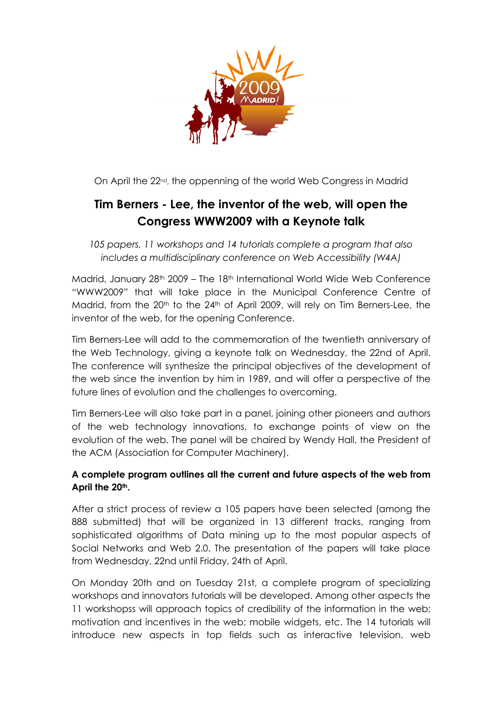

On April the 22nd, the oppenning of the world Web Congress in Madrid

## Tim Berners - Lee, the inventor of the web, will open the Congress WWW2009 with a Keynote talk

105 papers, 11 workshops and 14 tutorials complete a program that also includes a multidisciplinary conference on Web Accessibility (W4A)

Madrid, January 28th 2009 – The 18th International World Wide Web Conference "WWW2009" that will take place in the Municipal Conference Centre of Madrid, from the 20<sup>th</sup> to the 24<sup>th</sup> of April 2009, will rely on Tim Berners-Lee, the inventor of the web, for the opening Conference.

Tim Berners-Lee will add to the commemoration of the twentieth anniversary of the Web Technology, giving a keynote talk on Wednesday, the 22nd of April. The conference will synthesize the principal objectives of the development of the web since the invention by him in 1989, and will offer a perspective of the future lines of evolution and the challenges to overcoming.

Tim Berners-Lee will also take part in a panel, joining other pioneers and authors of the web technology innovations, to exchange points of view on the evolution of the web. The panel will be chaired by Wendy Hall, the President of the ACM (Association for Computer Machinery).

## A complete program outlines all the current and future aspects of the web from April the 20<sup>th</sup>.

After a strict process of review a 105 papers have been selected (among the 888 submitted) that will be organized in 13 different tracks, ranging from sophisticated algorithms of Data mining up to the most popular aspects of Social Networks and Web 2.0. The presentation of the papers will take place from Wednesday, 22nd until Friday, 24th of April.

On Monday 20th and on Tuesday 21st, a complete program of specializing workshops and innovators tutorials will be developed. Among other aspects the 11 workshopss will approach topics of credibility of the information in the web; motivation and incentives in the web; mobile widgets, etc. The 14 tutorials will introduce new aspects in top fields such as interactive television, web